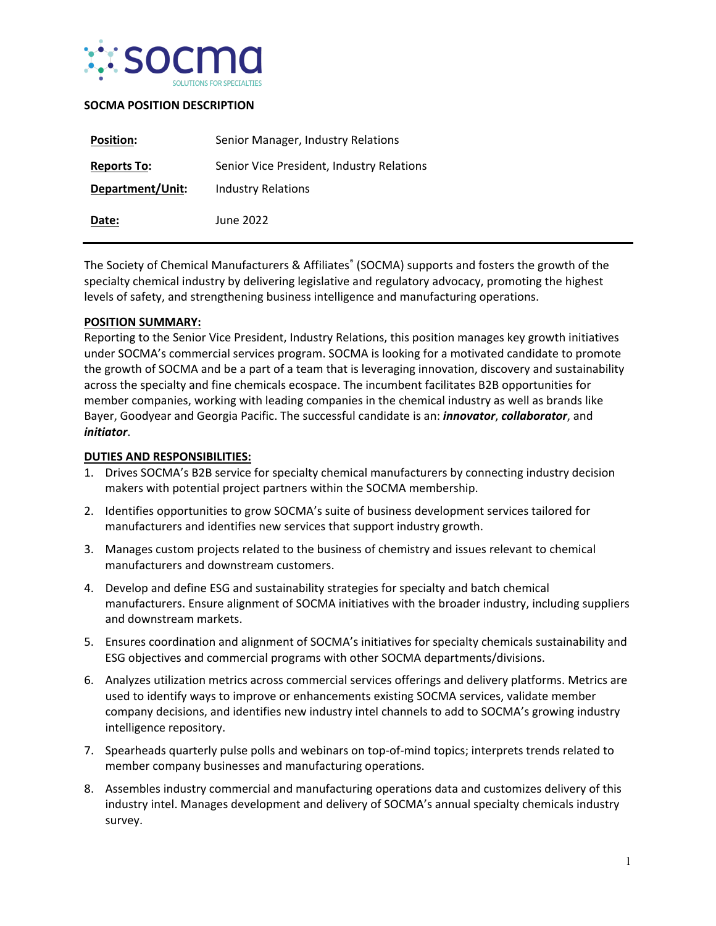

# **SOCMA POSITION DESCRIPTION**

| <b>Position:</b>   | Senior Manager, Industry Relations        |
|--------------------|-------------------------------------------|
| <b>Reports To:</b> | Senior Vice President, Industry Relations |
| Department/Unit:   | Industry Relations                        |
| Date:              | June 2022                                 |

The Society of Chemical Manufacturers & Affiliates<sup>®</sup> (SOCMA) supports and fosters the growth of the specialty chemical industry by delivering legislative and regulatory advocacy, promoting the highest levels of safety, and strengthening business intelligence and manufacturing operations.

### **POSITION SUMMARY:**

Reporting to the Senior Vice President, Industry Relations, this position manages key growth initiatives under SOCMA's commercial services program. SOCMA is looking for a motivated candidate to promote the growth of SOCMA and be a part of a team that is leveraging innovation, discovery and sustainability across the specialty and fine chemicals ecospace. The incumbent facilitates B2B opportunities for member companies, working with leading companies in the chemical industry as well as brands like Bayer, Goodyear and Georgia Pacific. The successful candidate is an: *innovator*, *collaborator*, and *initiator*.

## **DUTIES AND RESPONSIBILITIES:**

- 1. Drives SOCMA's B2B service for specialty chemical manufacturers by connecting industry decision makers with potential project partners within the SOCMA membership.
- 2. Identifies opportunities to grow SOCMA's suite of business development services tailored for manufacturers and identifies new services that support industry growth.
- 3. Manages custom projects related to the business of chemistry and issues relevant to chemical manufacturers and downstream customers.
- 4. Develop and define ESG and sustainability strategies for specialty and batch chemical manufacturers. Ensure alignment of SOCMA initiatives with the broader industry, including suppliers and downstream markets.
- 5. Ensures coordination and alignment of SOCMA's initiatives for specialty chemicals sustainability and ESG objectives and commercial programs with other SOCMA departments/divisions.
- 6. Analyzes utilization metrics across commercial services offerings and delivery platforms. Metrics are used to identify ways to improve or enhancements existing SOCMA services, validate member company decisions, and identifies new industry intel channels to add to SOCMA's growing industry intelligence repository.
- 7. Spearheads quarterly pulse polls and webinars on top-of-mind topics; interprets trends related to member company businesses and manufacturing operations.
- 8. Assembles industry commercial and manufacturing operations data and customizes delivery of this industry intel. Manages development and delivery of SOCMA's annual specialty chemicals industry survey.